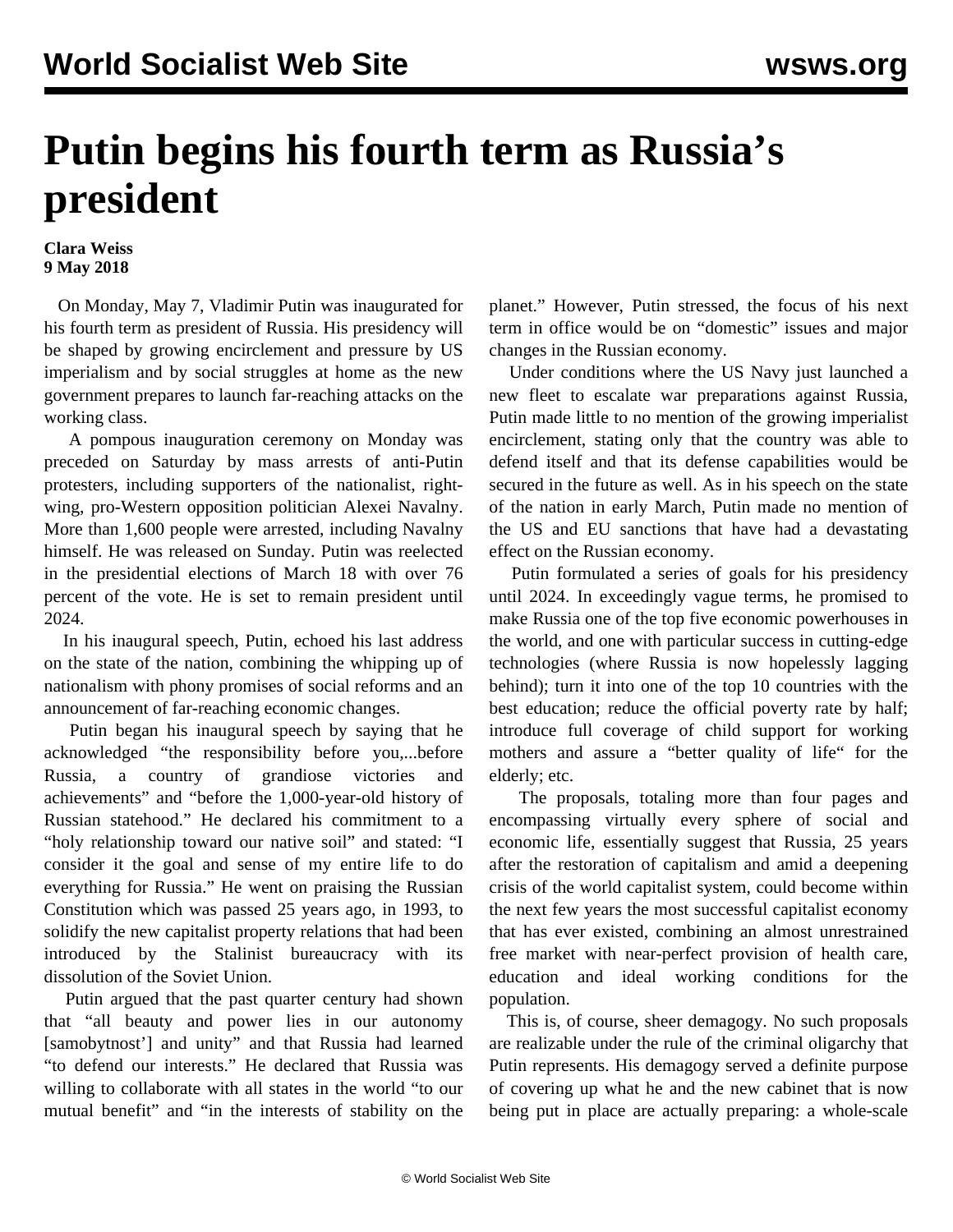## **Putin begins his fourth term as Russia's president**

## **Clara Weiss 9 May 2018**

 On Monday, May 7, Vladimir Putin was inaugurated for his fourth term as president of Russia. His presidency will be shaped by growing encirclement and pressure by US imperialism and by social struggles at home as the new government prepares to launch far-reaching attacks on the working class.

 A pompous inauguration ceremony on Monday was preceded on Saturday by mass arrests of anti-Putin protesters, including supporters of the nationalist, rightwing, pro-Western opposition politician Alexei Navalny. More than 1,600 people were arrested, including Navalny himself. He was released on Sunday. Putin was reelected in the presidential elections of March 18 with over 76 percent of the vote. He is set to remain president until 2024.

 In his inaugural speech, Putin, echoed his last address on the state of the nation, combining the whipping up of nationalism with phony promises of social reforms and an announcement of far-reaching economic changes.

 Putin began his inaugural speech by saying that he acknowledged "the responsibility before you,...before Russia, a country of grandiose victories and achievements" and "before the 1,000-year-old history of Russian statehood." He declared his commitment to a "holy relationship toward our native soil" and stated: "I consider it the goal and sense of my entire life to do everything for Russia." He went on praising the Russian Constitution which was passed 25 years ago, in 1993, to solidify the new capitalist property relations that had been introduced by the Stalinist bureaucracy with its dissolution of the Soviet Union.

 Putin argued that the past quarter century had shown that "all beauty and power lies in our autonomy [samobytnost'] and unity" and that Russia had learned "to defend our interests." He declared that Russia was willing to collaborate with all states in the world "to our mutual benefit" and "in the interests of stability on the planet." However, Putin stressed, the focus of his next term in office would be on "domestic" issues and major changes in the Russian economy.

 Under conditions where the US Navy just launched a new fleet to escalate war preparations against Russia, Putin made little to no mention of the growing imperialist encirclement, stating only that the country was able to defend itself and that its defense capabilities would be secured in the future as well. As in his speech on the state of the nation in early March, Putin made no mention of the US and EU sanctions that have had a devastating effect on the Russian economy.

 Putin formulated a series of goals for his presidency until 2024. In exceedingly vague terms, he promised to make Russia one of the top five economic powerhouses in the world, and one with particular success in cutting-edge technologies (where Russia is now hopelessly lagging behind); turn it into one of the top 10 countries with the best education; reduce the official poverty rate by half; introduce full coverage of child support for working mothers and assure a "better quality of life" for the elderly; etc.

 The proposals, totaling more than four pages and encompassing virtually every sphere of social and economic life, essentially suggest that Russia, 25 years after the restoration of capitalism and amid a deepening crisis of the world capitalist system, could become within the next few years the most successful capitalist economy that has ever existed, combining an almost unrestrained free market with near-perfect provision of health care, education and ideal working conditions for the population.

 This is, of course, sheer demagogy. No such proposals are realizable under the rule of the criminal oligarchy that Putin represents. His demagogy served a definite purpose of covering up what he and the new cabinet that is now being put in place are actually preparing: a whole-scale